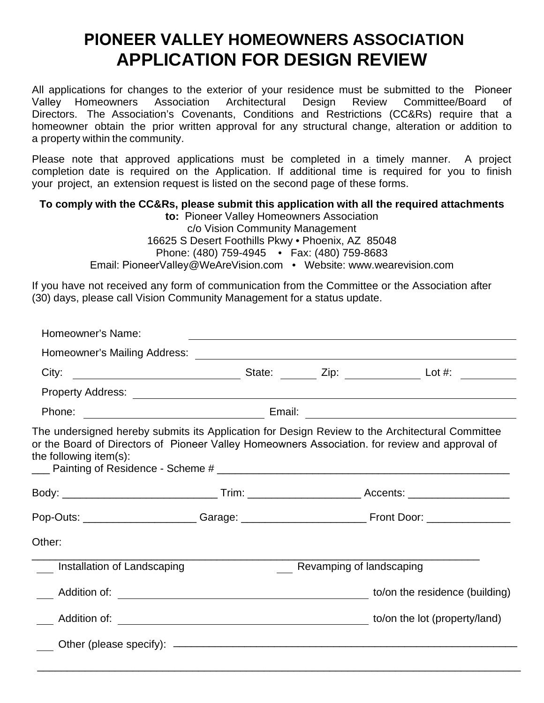## **PIONEER VALLEY HOMEOWNERS ASSOCIATION APPLICATION FOR DESIGN REVIEW**

All applications for changes to the exterior of your residence must be submitted to the Pioneer Valley Homeowners Association Architectural Design Review Committee/Board of Directors. The Association's Covenants, Conditions and Restrictions (CC&Rs) require that a homeowner obtain the prior written approval for any structural change, alteration or addition to a property within the community.

Please note that approved applications must be completed in a timely manner. A project completion date is required on the Application. If additional time is required for you to finish your project, an extension request is listed on the second page of these forms.

## **To comply with the CC&Rs, please submit this application with all the required attachments**

**to:** Pioneer Valley Homeowners Association c/o Vision Community Management 16625 S Desert Foothills Pkwy • Phoenix, AZ 85048 Phone: (480) 759-4945 • Fax: (480) 759-8683 Email: PioneerValley@WeAreVision.com • Website: www.wearevision.com

If you have not received any form of communication from the Committee or the Association after (30) days, please call Vision Community Management for a status update.

| Homeowner's Name:           |                                                                                                                                                                                                   |                          |  |  |
|-----------------------------|---------------------------------------------------------------------------------------------------------------------------------------------------------------------------------------------------|--------------------------|--|--|
|                             |                                                                                                                                                                                                   |                          |  |  |
| City:                       |                                                                                                                                                                                                   |                          |  |  |
|                             |                                                                                                                                                                                                   |                          |  |  |
|                             |                                                                                                                                                                                                   |                          |  |  |
| the following item $(s)$ :  | The undersigned hereby submits its Application for Design Review to the Architectural Committee<br>or the Board of Directors of Pioneer Valley Homeowners Association. for review and approval of |                          |  |  |
|                             |                                                                                                                                                                                                   |                          |  |  |
|                             |                                                                                                                                                                                                   |                          |  |  |
| Other:                      |                                                                                                                                                                                                   |                          |  |  |
| Installation of Landscaping |                                                                                                                                                                                                   | Revamping of landscaping |  |  |
|                             |                                                                                                                                                                                                   |                          |  |  |
|                             |                                                                                                                                                                                                   |                          |  |  |
|                             |                                                                                                                                                                                                   |                          |  |  |
|                             |                                                                                                                                                                                                   |                          |  |  |